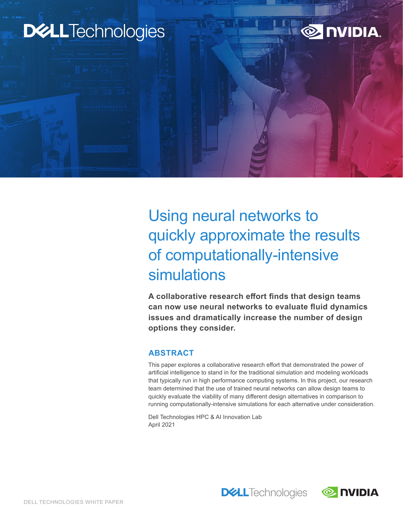# **DELL**Technologies



Using neural networks to quickly approximate the results of computationally-intensive simulations

**A collaborative research effort finds that design teams can now use neural networks to evaluate fluid dynamics issues and dramatically increase the number of design options they consider.**

## **ABSTRACT**

This paper explores a collaborative research effort that demonstrated the power of artificial intelligence to stand in for the traditional simulation and modeling workloads that typically run in high performance computing systems. In this project, our research team determined that the use of trained neural networks can allow design teams to quickly evaluate the viability of many different design alternatives in comparison to running computationally-intensive simulations for each alternative under consideration.

**DELL**Technologies

Dell Technologies HPC & AI Innovation Lab April 2021

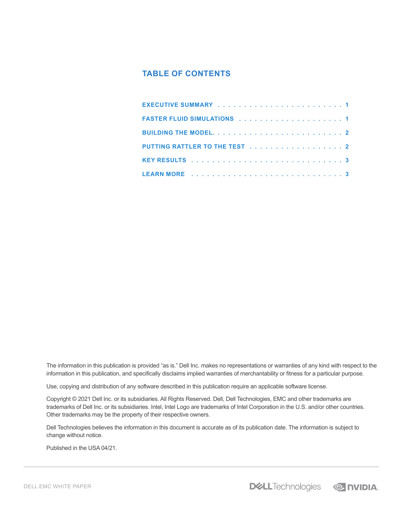# **TABLE OF CONTENTS**

| PUTTING RATTLER TO THE TEST 2 |  |  |  |  |  |  |  |  |  |  |
|-------------------------------|--|--|--|--|--|--|--|--|--|--|
|                               |  |  |  |  |  |  |  |  |  |  |
|                               |  |  |  |  |  |  |  |  |  |  |

The information in this publication is provided "as is." Dell Inc. makes no representations or warranties of any kind with respect to the information in this publication, and specifically disclaims implied warranties of merchantability or fitness for a particular purpose.

Use, copying and distribution of any software described in this publication require an applicable software license.

Copyright © 2021 Dell Inc. or its subsidiaries. All Rights Reserved. Dell, Dell Technologies, EMC and other trademarks are trademarks of Dell Inc. or its subsidiaries. Intel, Intel Logo are trademarks of Intel Corporation in the U.S. and/or other countries. Other trademarks may be the property of their respective owners.

Dell Technologies believes the information in this document is accurate as of its publication date. The information is subject to change without notice.

Published in the USA 04/21.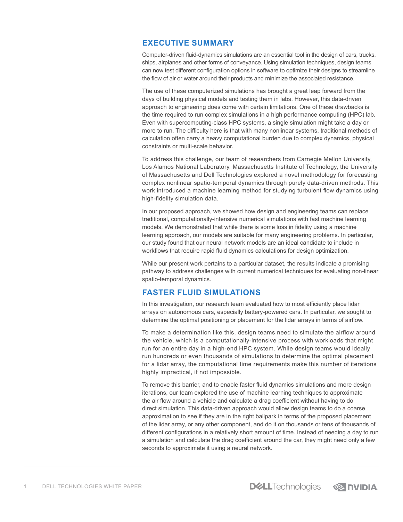## <span id="page-2-0"></span>**EXECUTIVE SUMMARY**

Computer-driven fluid-dynamics simulations are an essential tool in the design of cars, trucks, ships, airplanes and other forms of conveyance. Using simulation techniques, design teams can now test different configuration options in software to optimize their designs to streamline the flow of air or water around their products and minimize the associated resistance.

The use of these computerized simulations has brought a great leap forward from the days of building physical models and testing them in labs. However, this data-driven approach to engineering does come with certain limitations. One of these drawbacks is the time required to run complex simulations in a high performance computing (HPC) lab. Even with supercomputing-class HPC systems, a single simulation might take a day or more to run. The difficulty here is that with many nonlinear systems, traditional methods of calculation often carry a heavy computational burden due to complex dynamics, physical constraints or multi-scale behavior.

To address this challenge, our team of researchers from Carnegie Mellon University, Los Alamos National Laboratory, Massachusetts Institute of Technology, the University of Massachusetts and Dell Technologies explored a novel methodology for forecasting complex nonlinear spatio-temporal dynamics through purely data-driven methods. This work introduced a machine learning method for studying turbulent flow dynamics using high-fidelity simulation data.

In our proposed approach, we showed how design and engineering teams can replace traditional, computationally-intensive numerical simulations with fast machine learning models. We demonstrated that while there is some loss in fidelity using a machine learning approach, our models are suitable for many engineering problems. In particular, our study found that our neural network models are an ideal candidate to include in workflows that require rapid fluid dynamics calculations for design optimization.

While our present work pertains to a particular dataset, the results indicate a promising pathway to address challenges with current numerical techniques for evaluating non-linear spatio-temporal dynamics.

## **FASTER FLUID SIMULATIONS**

In this investigation, our research team evaluated how to most efficiently place lidar arrays on autonomous cars, especially battery-powered cars. In particular, we sought to determine the optimal positioning or placement for the lidar arrays in terms of airflow.

To make a determination like this, design teams need to simulate the airflow around the vehicle, which is a computationally-intensive process with workloads that might run for an entire day in a high-end HPC system. While design teams would ideally run hundreds or even thousands of simulations to determine the optimal placement for a lidar array, the computational time requirements make this number of iterations highly impractical, if not impossible.

To remove this barrier, and to enable faster fluid dynamics simulations and more design iterations, our team explored the use of machine learning techniques to approximate the air flow around a vehicle and calculate a drag coefficient without having to do direct simulation. This data-driven approach would allow design teams to do a coarse approximation to see if they are in the right ballpark in terms of the proposed placement of the lidar array, or any other component, and do it on thousands or tens of thousands of different configurations in a relatively short amount of time. Instead of needing a day to run a simulation and calculate the drag coefficient around the car, they might need only a few seconds to approximate it using a neural network.

**DELL**Technologies **EX DVIDIA.**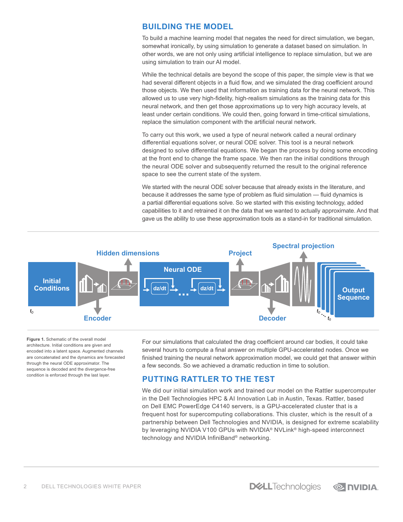## <span id="page-3-0"></span>**BUILDING THE MODEL**

To build a machine learning model that negates the need for direct simulation, we began, somewhat ironically, by using simulation to generate a dataset based on simulation. In other words, we are not only using artificial intelligence to replace simulation, but we are using simulation to train our AI model.

While the technical details are beyond the scope of this paper, the simple view is that we had several different objects in a fluid flow, and we simulated the drag coefficient around those objects. We then used that information as training data for the neural network. This allowed us to use very high-fidelity, high-realism simulations as the training data for this neural network, and then get those approximations up to very high accuracy levels, at least under certain conditions. We could then, going forward in time-critical simulations, replace the simulation component with the artificial neural network.

To carry out this work, we used a type of neural network called a neural ordinary differential equations solver, or neural ODE solver. This tool is a neural network designed to solve differential equations. We began the process by doing some encoding at the front end to change the frame space. We then ran the initial conditions through the neural ODE solver and subsequently returned the result to the original reference space to see the current state of the system.

We started with the neural ODE solver because that already exists in the literature, and because it addresses the same type of problem as fluid simulation — fluid dynamics is a partial differential equations solve. So we started with this existing technology, added capabilities to it and retrained it on the data that we wanted to actually approximate. And that gave us the ability to use these approximation tools as a stand-in for traditional simulation.



**Figure 1.** Schematic of the overall model architecture. Initial conditions are given and encoded into a latent space. Augmented channels are concatenated and the dynamics are forecasted through the neural ODE approximator. The sequence is decoded and the divergence-free condition is enforced through the last layer.

For our simulations that calculated the drag coefficient around car bodies, it could take several hours to compute a final answer on multiple GPU-accelerated nodes. Once we finished training the neural network approximation model, we could get that answer within a few seconds. So we achieved a dramatic reduction in time to solution.

## **PUTTING RATTLER TO THE TEST**

We did our initial simulation work and trained our model on the Rattler supercomputer in the Dell Technologies HPC & AI Innovation Lab in Austin, Texas. Rattler, based on Dell EMC PowerEdge C4140 servers, is a GPU-accelerated cluster that is a frequent host for supercomputing collaborations. This cluster, which is the result of a partnership between Dell Technologies and NVIDIA, is designed for extreme scalability by leveraging NVIDIA V100 GPUs with NVIDIA® NVLink® high-speed interconnect technology and NVIDIA InfiniBand® networking.

**DGLL**Technologies **EX DVIDIA**